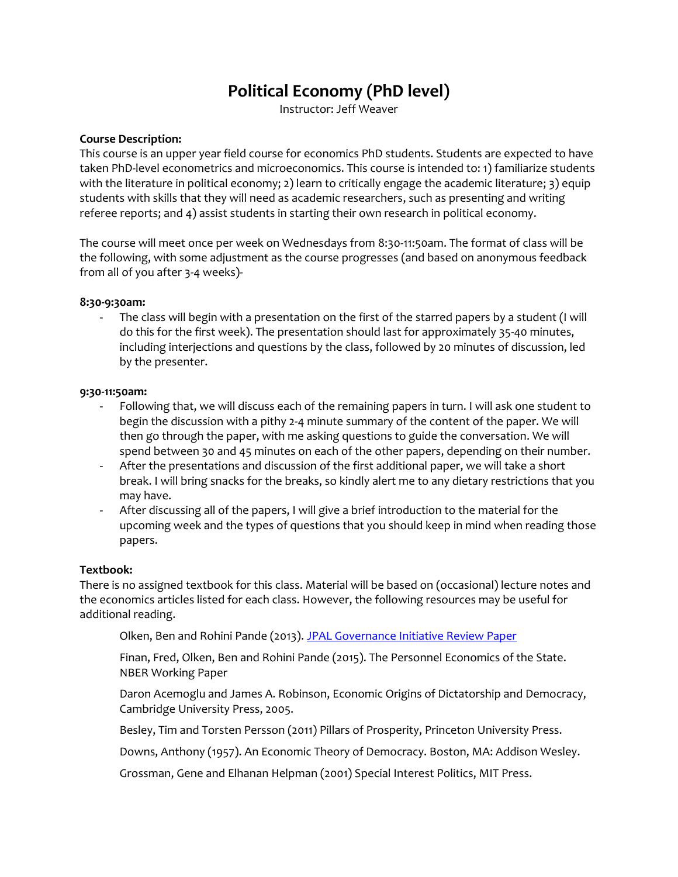# **Political Economy (PhD level)**

Instructor: Jeff Weaver

#### **Course Description:**

This course is an upper year field course for economics PhD students. Students are expected to have taken PhD-level econometrics and microeconomics. This course is intended to: 1) familiarize students with the literature in political economy; 2) learn to critically engage the academic literature; 3) equip students with skills that they will need as academic researchers, such as presenting and writing referee reports; and 4) assist students in starting their own research in political economy.

The course will meet once per week on Wednesdays from 8:30-11:50am. The format of class will be the following, with some adjustment as the course progresses (and based on anonymous feedback from all of you after 3-4 weeks)-

#### **8:30-9:30am:**

The class will begin with a presentation on the first of the starred papers by a student (I will do this for the first week). The presentation should last for approximately 35-40 minutes, including interjections and questions by the class, followed by 20 minutes of discussion, led by the presenter.

#### **9:30-11:50am:**

- Following that, we will discuss each of the remaining papers in turn. I will ask one student to begin the discussion with a pithy 2-4 minute summary of the content of the paper. We will then go through the paper, with me asking questions to guide the conversation. We will spend between 30 and 45 minutes on each of the other papers, depending on their number.
- After the presentations and discussion of the first additional paper, we will take a short break. I will bring snacks for the breaks, so kindly alert me to any dietary restrictions that you may have.
- After discussing all of the papers, I will give a brief introduction to the material for the upcoming week and the types of questions that you should keep in mind when reading those papers.

#### **Textbook:**

There is no assigned textbook for this class. Material will be based on (occasional) lecture notes and the economics articles listed for each class. However, the following resources may be useful for additional reading.

Olken, Ben and Rohini Pande (2013). [JPAL Governance Initiative Review Paper](https://www.povertyactionlab.org/sites/default/files/publications/J-PAL%20GI%20-%20Governance%20Review%20Paper%20v%20October%202013.pdf)

Finan, Fred, Olken, Ben and Rohini Pande (2015). The Personnel Economics of the State. NBER Working Paper

Daron Acemoglu and James A. Robinson, Economic Origins of Dictatorship and Democracy, Cambridge University Press, 2005.

Besley, Tim and Torsten Persson (2011) Pillars of Prosperity, Princeton University Press.

Downs, Anthony (1957). An Economic Theory of Democracy. Boston, MA: Addison Wesley.

Grossman, Gene and Elhanan Helpman (2001) Special Interest Politics, MIT Press.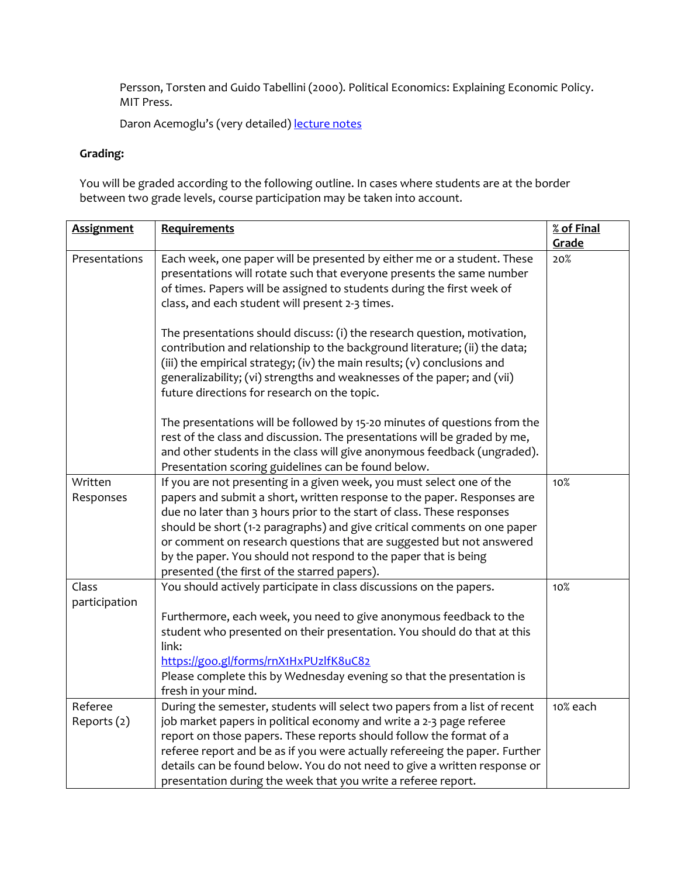Persson, Torsten and Guido Tabellini (2000). Political Economics: Explaining Economic Policy. MIT Press.

Daron Acemoglu's (very detailed) [lecture notes](https://economics.mit.edu/files/8753)

# **Grading:**

You will be graded according to the following outline. In cases where students are at the border between two grade levels, course participation may be taken into account.

| <b>Assignment</b>    | Requirements                                                                                                                                                                                                                                                                                                                                                  | % of Final<br>Grade |
|----------------------|---------------------------------------------------------------------------------------------------------------------------------------------------------------------------------------------------------------------------------------------------------------------------------------------------------------------------------------------------------------|---------------------|
| Presentations        | Each week, one paper will be presented by either me or a student. These<br>presentations will rotate such that everyone presents the same number<br>of times. Papers will be assigned to students during the first week of<br>class, and each student will present 2-3 times.                                                                                 | 20%                 |
|                      | The presentations should discuss: (i) the research question, motivation,<br>contribution and relationship to the background literature; (ii) the data;<br>(iii) the empirical strategy; (iv) the main results; (v) conclusions and<br>generalizability; (vi) strengths and weaknesses of the paper; and (vii)<br>future directions for research on the topic. |                     |
|                      | The presentations will be followed by 15-20 minutes of questions from the<br>rest of the class and discussion. The presentations will be graded by me,<br>and other students in the class will give anonymous feedback (ungraded).<br>Presentation scoring guidelines can be found below.                                                                     |                     |
| Written<br>Responses | If you are not presenting in a given week, you must select one of the<br>papers and submit a short, written response to the paper. Responses are                                                                                                                                                                                                              | 10%                 |
|                      | due no later than 3 hours prior to the start of class. These responses                                                                                                                                                                                                                                                                                        |                     |
|                      | should be short (1-2 paragraphs) and give critical comments on one paper                                                                                                                                                                                                                                                                                      |                     |
|                      | or comment on research questions that are suggested but not answered<br>by the paper. You should not respond to the paper that is being                                                                                                                                                                                                                       |                     |
|                      | presented (the first of the starred papers).                                                                                                                                                                                                                                                                                                                  |                     |
| Class                | You should actively participate in class discussions on the papers.                                                                                                                                                                                                                                                                                           | 10%                 |
| participation        |                                                                                                                                                                                                                                                                                                                                                               |                     |
|                      | Furthermore, each week, you need to give anonymous feedback to the                                                                                                                                                                                                                                                                                            |                     |
|                      | student who presented on their presentation. You should do that at this<br>link:                                                                                                                                                                                                                                                                              |                     |
|                      | https://goo.gl/forms/rnX1HxPUzlfK8uC82                                                                                                                                                                                                                                                                                                                        |                     |
|                      | Please complete this by Wednesday evening so that the presentation is                                                                                                                                                                                                                                                                                         |                     |
|                      | fresh in your mind.                                                                                                                                                                                                                                                                                                                                           |                     |
| Referee              | During the semester, students will select two papers from a list of recent                                                                                                                                                                                                                                                                                    | 10% each            |
| Reports (2)          | job market papers in political economy and write a 2-3 page referee                                                                                                                                                                                                                                                                                           |                     |
|                      | report on those papers. These reports should follow the format of a                                                                                                                                                                                                                                                                                           |                     |
|                      | referee report and be as if you were actually refereeing the paper. Further<br>details can be found below. You do not need to give a written response or                                                                                                                                                                                                      |                     |
|                      | presentation during the week that you write a referee report.                                                                                                                                                                                                                                                                                                 |                     |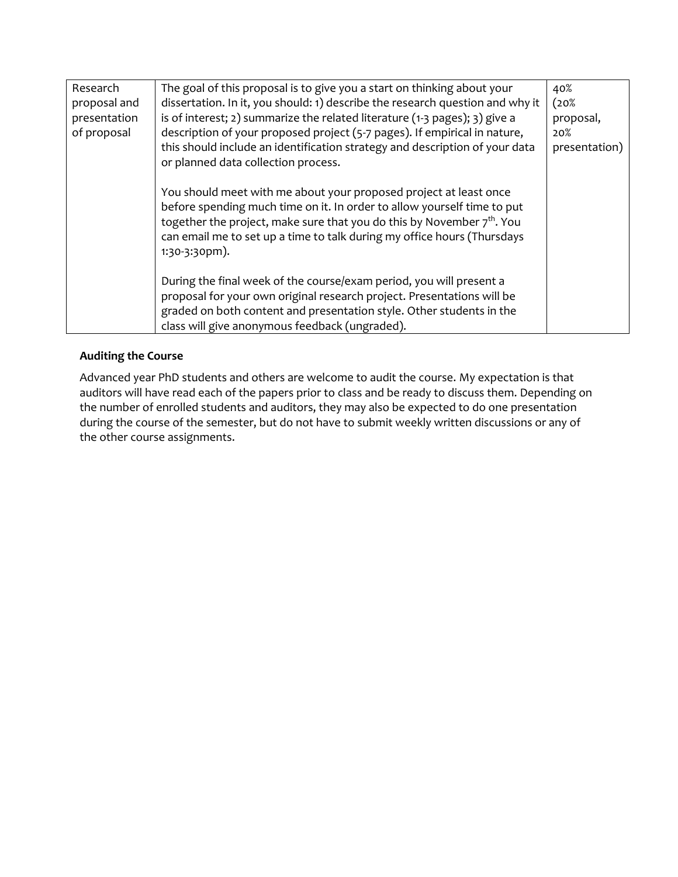| Research     | The goal of this proposal is to give you a start on thinking about your       | 40%           |
|--------------|-------------------------------------------------------------------------------|---------------|
| proposal and | dissertation. In it, you should: 1) describe the research question and why it | (20%          |
| presentation | is of interest; 2) summarize the related literature (1-3 pages); 3) give a    | proposal,     |
| of proposal  | description of your proposed project (5-7 pages). If empirical in nature,     | 20%           |
|              | this should include an identification strategy and description of your data   | presentation) |
|              | or planned data collection process.                                           |               |
|              |                                                                               |               |
|              | You should meet with me about your proposed project at least once             |               |
|              | before spending much time on it. In order to allow yourself time to put       |               |
|              | together the project, make sure that you do this by November $7th$ . You      |               |
|              | can email me to set up a time to talk during my office hours (Thursdays       |               |
|              | $1:30-3:30$ pm).                                                              |               |
|              | During the final week of the course/exam period, you will present a           |               |
|              | proposal for your own original research project. Presentations will be        |               |
|              | graded on both content and presentation style. Other students in the          |               |
|              | class will give anonymous feedback (ungraded).                                |               |
|              |                                                                               |               |

# **Auditing the Course**

Advanced year PhD students and others are welcome to audit the course. My expectation is that auditors will have read each of the papers prior to class and be ready to discuss them. Depending on the number of enrolled students and auditors, they may also be expected to do one presentation during the course of the semester, but do not have to submit weekly written discussions or any of the other course assignments.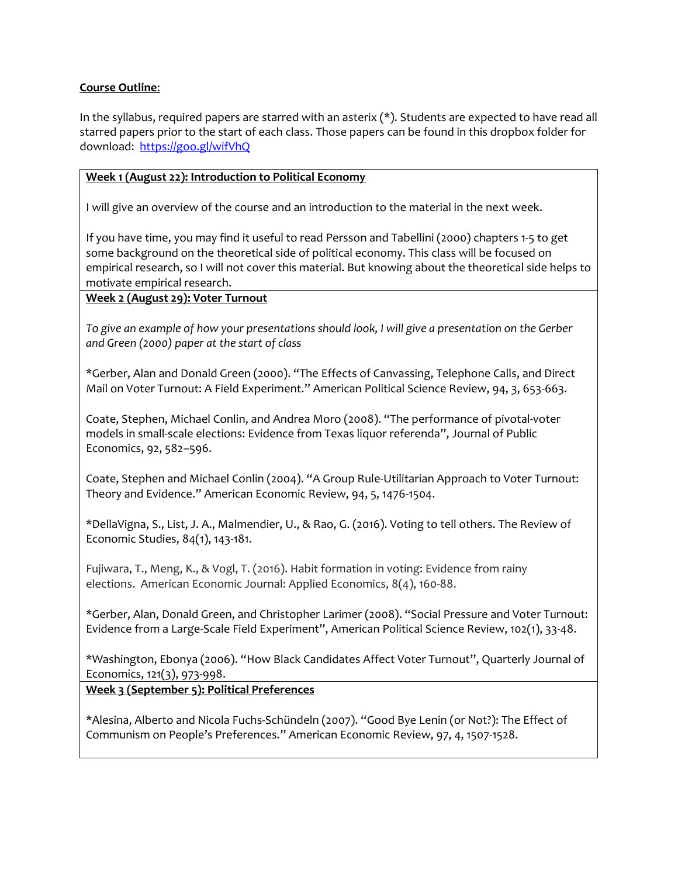#### **Course Outline**:

In the syllabus, required papers are starred with an asterix (\*). Students are expected to have read all starred papers prior to the start of each class. Those papers can be found in this dropbox folder for download: <https://goo.gl/wifVhQ>

#### **Week 1 (August 22): Introduction to Political Economy**

I will give an overview of the course and an introduction to the material in the next week.

If you have time, you may find it useful to read Persson and Tabellini (2000) chapters 1-5 to get some background on the theoretical side of political economy. This class will be focused on empirical research, so I will not cover this material. But knowing about the theoretical side helps to motivate empirical research.

#### **Week 2 (August 29): Voter Turnout**

*To give an example of how your presentations should look, I will give a presentation on the Gerber and Green (2000) paper at the start of class*

\*Gerber, Alan and Donald Green (2000). "The Effects of Canvassing, Telephone Calls, and Direct Mail on Voter Turnout: A Field Experiment." American Political Science Review, 94, 3, 653-663.

Coate, Stephen, Michael Conlin, and Andrea Moro (2008). "The performance of pivotal‐voter models in small‐scale elections: Evidence from Texas liquor referenda", Journal of Public Economics, 92, 582–596.

Coate, Stephen and Michael Conlin (2004). "A Group Rule-Utilitarian Approach to Voter Turnout: Theory and Evidence." American Economic Review, 94, 5, 1476-1504.

\*DellaVigna, S., List, J. A., Malmendier, U., & Rao, G. (2016). Voting to tell others. The Review of Economic Studies, 84(1), 143-181.

Fujiwara, T., Meng, K., & Vogl, T. (2016). Habit formation in voting: Evidence from rainy elections. American Economic Journal: Applied Economics, 8(4), 160-88.

\*Gerber, Alan, Donald Green, and Christopher Larimer (2008). "Social Pressure and Voter Turnout: Evidence from a Large‐Scale Field Experiment", American Political Science Review, 102(1), 33‐48.

\*Washington, Ebonya (2006). "How Black Candidates Affect Voter Turnout", Quarterly Journal of Economics, 121(3), 973‐998.

**Week 3 (September 5): Political Preferences**

\*Alesina, Alberto and Nicola Fuchs-Schündeln (2007). "Good Bye Lenin (or Not?): The Effect of Communism on People's Preferences." American Economic Review, 97, 4, 1507-1528.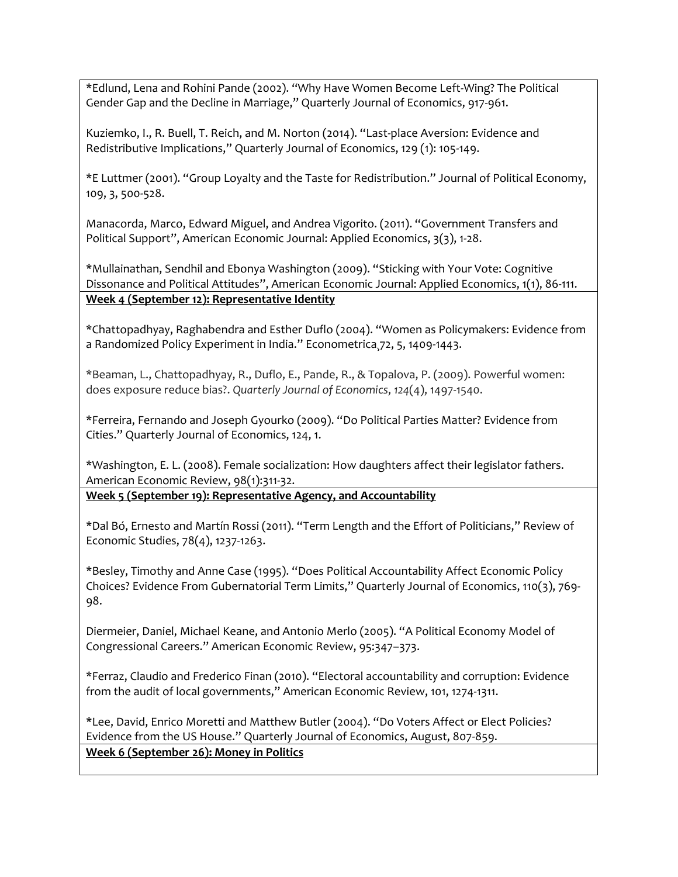\*Edlund, Lena and Rohini Pande (2002). "Why Have Women Become Left-Wing? The Political Gender Gap and the Decline in Marriage," Quarterly Journal of Economics, 917-961.

Kuziemko, I., R. Buell, T. Reich, and M. Norton (2014). "Last-place Aversion: Evidence and Redistributive Implications," Quarterly Journal of Economics, 129 (1): 105-149.

\*E Luttmer (2001). "Group Loyalty and the Taste for Redistribution." Journal of Political Economy, 109, 3, 500-528.

Manacorda, Marco, Edward Miguel, and Andrea Vigorito. (2011). "Government Transfers and Political Support", American Economic Journal: Applied Economics, 3(3), 1‐28.

\*Mullainathan, Sendhil and Ebonya Washington (2009). "Sticking with Your Vote: Cognitive Dissonance and Political Attitudes", American Economic Journal: Applied Economics, 1(1), 86‐111. **Week 4 (September 12): Representative Identity**

\*Chattopadhyay, Raghabendra and Esther Duflo (2004). "Women as Policymakers: Evidence from a Randomized Policy Experiment in India." Econometrica¸72, 5, 1409-1443.

\*Beaman, L., Chattopadhyay, R., Duflo, E., Pande, R., & Topalova, P. (2009). Powerful women: does exposure reduce bias?. *Quarterly Journal of Economics*, *124*(4), 1497-1540.

\*Ferreira, Fernando and Joseph Gyourko (2009). "Do Political Parties Matter? Evidence from Cities." Quarterly Journal of Economics, 124, 1.

\*Washington, E. L. (2008). Female socialization: How daughters affect their legislator fathers. American Economic Review, 98(1):311-32.

**Week 5 (September 19): Representative Agency, and Accountability** 

\*Dal Bó, Ernesto and Martín Rossi (2011). "Term Length and the Effort of Politicians," Review of Economic Studies, 78(4), 1237‐1263.

\*Besley, Timothy and Anne Case (1995). "Does Political Accountability Affect Economic Policy Choices? Evidence From Gubernatorial Term Limits," Quarterly Journal of Economics, 110(3), 769‐ 98.

Diermeier, Daniel, Michael Keane, and Antonio Merlo (2005). "A Political Economy Model of Congressional Careers." American Economic Review, 95:347–373.

\*Ferraz, Claudio and Frederico Finan (2010). "Electoral accountability and corruption: Evidence from the audit of local governments," American Economic Review, 101, 1274‐1311.

\*Lee, David, Enrico Moretti and Matthew Butler (2004). "Do Voters Affect or Elect Policies? Evidence from the US House." Quarterly Journal of Economics, August, 807-859. **Week 6 (September 26): Money in Politics**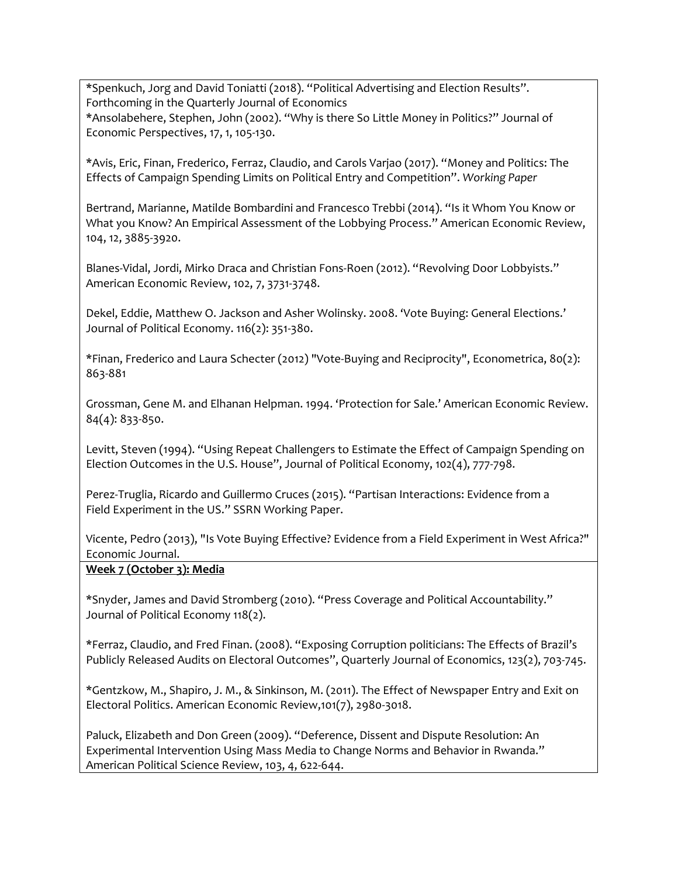\*Spenkuch, Jorg and David Toniatti (2018). "Political Advertising and Election Results". Forthcoming in the Quarterly Journal of Economics \*Ansolabehere, Stephen, John (2002). "Why is there So Little Money in Politics?" Journal of Economic Perspectives, 17, 1, 105-130.

\*Avis, Eric, Finan, Frederico, Ferraz, Claudio, and Carols Varjao (2017). "Money and Politics: The Effects of Campaign Spending Limits on Political Entry and Competition". *Working Paper*

Bertrand, Marianne, Matilde Bombardini and Francesco Trebbi (2014). "Is it Whom You Know or What you Know? An Empirical Assessment of the Lobbying Process." American Economic Review, 104, 12, 3885-3920.

Blanes-Vidal, Jordi, Mirko Draca and Christian Fons-Roen (2012). "Revolving Door Lobbyists." American Economic Review, 102, 7, 3731-3748.

Dekel, Eddie, Matthew O. Jackson and Asher Wolinsky. 2008. 'Vote Buying: General Elections.' Journal of Political Economy. 116(2): 351-380.

\*Finan, Frederico and Laura Schecter (2012) "Vote-Buying and Reciprocity", Econometrica, 80(2): 863-881

Grossman, Gene M. and Elhanan Helpman. 1994. 'Protection for Sale.' American Economic Review. 84(4): 833-850.

Levitt, Steven (1994). "Using Repeat Challengers to Estimate the Effect of Campaign Spending on Election Outcomes in the U.S. House", Journal of Political Economy, 102(4), 777‐798.

Perez-Truglia, Ricardo and Guillermo Cruces (2015). "Partisan Interactions: Evidence from a Field Experiment in the US." SSRN Working Paper.

Vicente, Pedro (2013), "Is Vote Buying Effective? Evidence from a Field Experiment in West Africa?" Economic Journal.

## **Week 7 (October 3): Media**

\*Snyder, James and David Stromberg (2010). "Press Coverage and Political Accountability." Journal of Political Economy 118(2).

\*Ferraz, Claudio, and Fred Finan. (2008). "Exposing Corruption politicians: The Effects of Brazil's Publicly Released Audits on Electoral Outcomes", Quarterly Journal of Economics, 123(2), 703‐745.

\*Gentzkow, M., Shapiro, J. M., & Sinkinson, M. (2011). The Effect of Newspaper Entry and Exit on Electoral Politics. American Economic Review,101(7), 2980-3018.

Paluck, Elizabeth and Don Green (2009). "Deference, Dissent and Dispute Resolution: An Experimental Intervention Using Mass Media to Change Norms and Behavior in Rwanda." American Political Science Review, 103, 4, 622-644.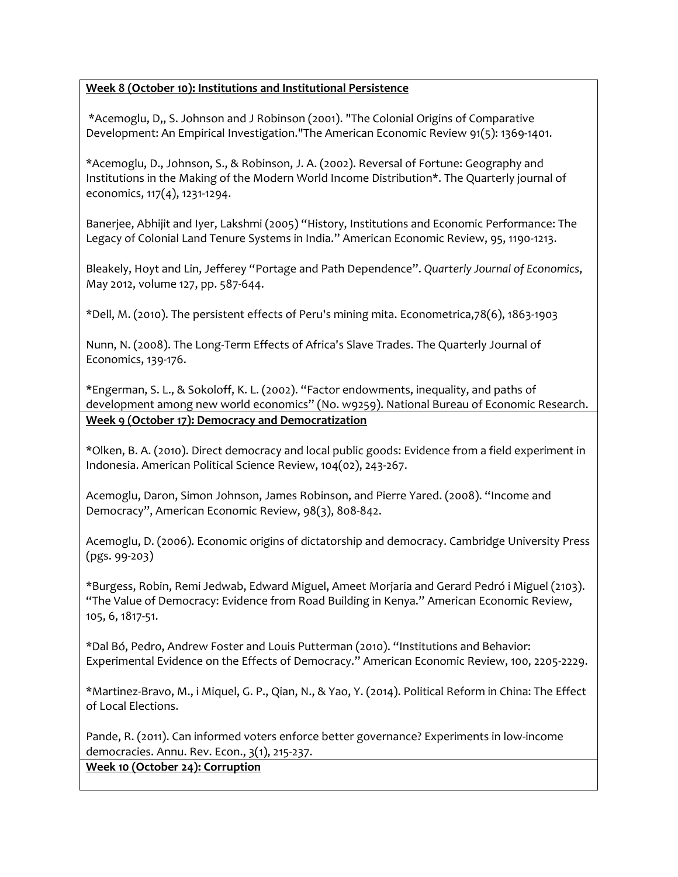# **Week 8 (October 10): Institutions and Institutional Persistence**

\*Acemoglu, D,, S. Johnson and J Robinson (2001). "The Colonial Origins of Comparative Development: An Empirical Investigation."The American Economic Review 91(5): 1369-1401.

\*Acemoglu, D., Johnson, S., & Robinson, J. A. (2002). Reversal of Fortune: Geography and Institutions in the Making of the Modern World Income Distribution\*. The Quarterly journal of economics, 117(4), 1231-1294.

Banerjee, Abhijit and Iyer, Lakshmi (2005) "History, Institutions and Economic Performance: The Legacy of Colonial Land Tenure Systems in India." American Economic Review, 95, 1190-1213.

Bleakely, Hoyt and Lin, Jefferey "Portage and Path Dependence". *Quarterly Journal of Economics*, May 2012, volume 127, pp. 587-644.

\*Dell, M. (2010). The persistent effects of Peru's mining mita. Econometrica,78(6), 1863-1903

Nunn, N. (2008). The Long-Term Effects of Africa's Slave Trades. The Quarterly Journal of Economics, 139-176.

\*Engerman, S. L., & Sokoloff, K. L. (2002). "Factor endowments, inequality, and paths of development among new world economics" (No. w9259). National Bureau of Economic Research. **Week 9 (October 17): Democracy and Democratization**

\*Olken, B. A. (2010). Direct democracy and local public goods: Evidence from a field experiment in Indonesia. American Political Science Review, 104(02), 243-267.

Acemoglu, Daron, Simon Johnson, James Robinson, and Pierre Yared. (2008). "Income and Democracy", American Economic Review, 98(3), 808‐842.

Acemoglu, D. (2006). Economic origins of dictatorship and democracy. Cambridge University Press (pgs. 99-203)

\*Burgess, Robin, Remi Jedwab, Edward Miguel, Ameet Morjaria and Gerard Pedró i Miguel (2103). "The Value of Democracy: Evidence from Road Building in Kenya." American Economic Review, 105, 6, 1817-51.

\*Dal Bó, Pedro, Andrew Foster and Louis Putterman (2010). "Institutions and Behavior: Experimental Evidence on the Effects of Democracy." American Economic Review, 100, 2205-2229.

\*Martinez-Bravo, M., i Miquel, G. P., Qian, N., & Yao, Y. (2014). Political Reform in China: The Effect of Local Elections.

Pande, R. (2011). Can informed voters enforce better governance? Experiments in low-income democracies. Annu. Rev. Econ., 3(1), 215-237.

**Week 10 (October 24): Corruption**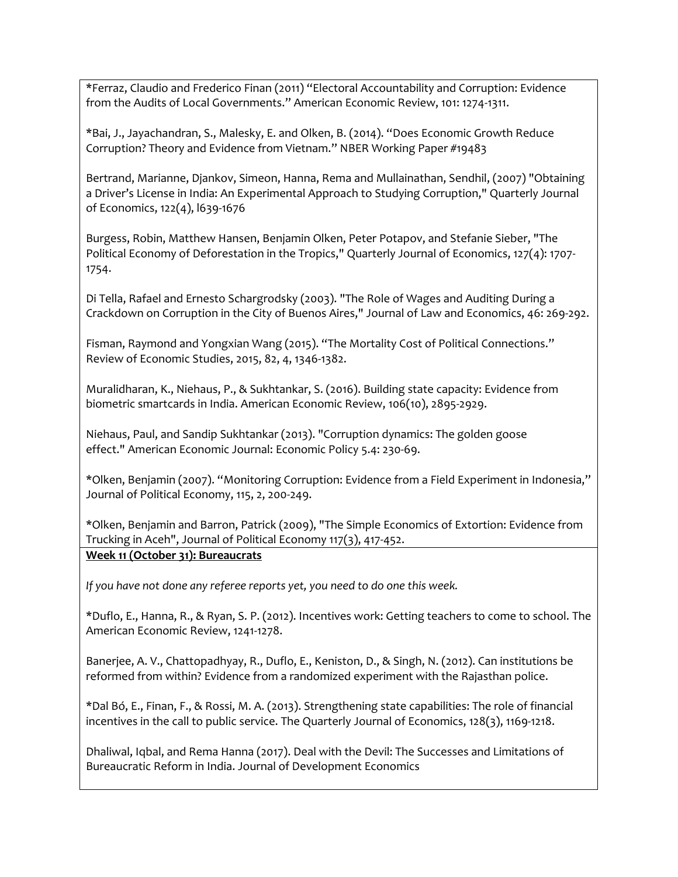\*Ferraz, Claudio and Frederico Finan (2011) "Electoral Accountability and Corruption: Evidence from the Audits of Local Governments." American Economic Review, 101: 1274-1311.

\*Bai, J., Jayachandran, S., Malesky, E. and Olken, B. (2014). "Does Economic Growth Reduce Corruption? Theory and Evidence from Vietnam." NBER Working Paper #19483

Bertrand, Marianne, Djankov, Simeon, Hanna, Rema and Mullainathan, Sendhil, (2007) "Obtaining a Driver's License in India: An Experimental Approach to Studying Corruption," Quarterly Journal of Economics, 122(4), l639-1676

Burgess, Robin, Matthew Hansen, Benjamin Olken, Peter Potapov, and Stefanie Sieber, "The Political Economy of Deforestation in the Tropics," Quarterly Journal of Economics, 127(4): 1707- 1754.

Di Tella, Rafael and Ernesto Schargrodsky (2003). "The Role of Wages and Auditing During a Crackdown on Corruption in the City of Buenos Aires," Journal of Law and Economics, 46: 269-292.

Fisman, Raymond and Yongxian Wang (2015). "The Mortality Cost of Political Connections." Review of Economic Studies, 2015, 82, 4, 1346-1382.

Muralidharan, K., Niehaus, P., & Sukhtankar, S. (2016). Building state capacity: Evidence from biometric smartcards in India. American Economic Review, 106(10), 2895-2929.

Niehaus, Paul, and Sandip Sukhtankar (2013). "Corruption dynamics: The golden goose effect." American Economic Journal: Economic Policy 5.4: 230-69.

\*Olken, Benjamin (2007). "Monitoring Corruption: Evidence from a Field Experiment in Indonesia," Journal of Political Economy, 115, 2, 200-249.

\*Olken, Benjamin and Barron, Patrick (2009), "The Simple Economics of Extortion: Evidence from Trucking in Aceh", Journal of Political Economy 117(3), 417-452. **Week 11 (October 31): Bureaucrats**

*If you have not done any referee reports yet, you need to do one this week.*

\*Duflo, E., Hanna, R., & Ryan, S. P. (2012). Incentives work: Getting teachers to come to school. The American Economic Review, 1241-1278.

Banerjee, A. V., Chattopadhyay, R., Duflo, E., Keniston, D., & Singh, N. (2012). Can institutions be reformed from within? Evidence from a randomized experiment with the Rajasthan police.

\*Dal Bó, E., Finan, F., & Rossi, M. A. (2013). Strengthening state capabilities: The role of financial incentives in the call to public service. The Quarterly Journal of Economics, 128(3), 1169-1218.

Dhaliwal, Iqbal, and Rema Hanna (2017). Deal with the Devil: The Successes and Limitations of Bureaucratic Reform in India. Journal of Development Economics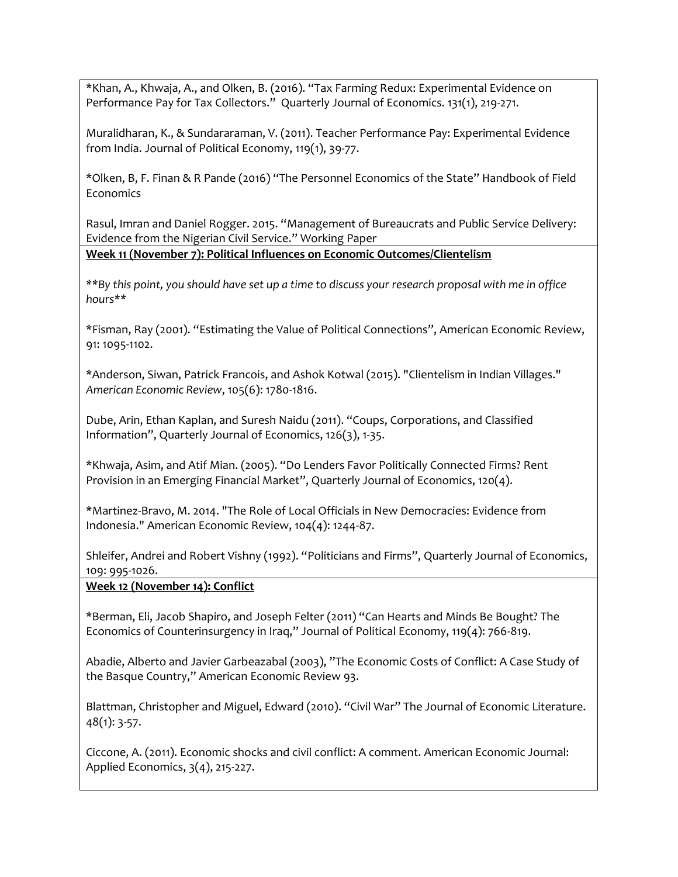\*Khan, A., Khwaja, A., and Olken, B. (2016). "Tax Farming Redux: Experimental Evidence on Performance Pay for Tax Collectors." Quarterly Journal of Economics. 131(1), 219-271.

Muralidharan, K., & Sundararaman, V. (2011). Teacher Performance Pay: Experimental Evidence from India. Journal of Political Economy, 119(1), 39-77.

\*Olken, B, F. Finan & R Pande (2016) "The Personnel Economics of the State" Handbook of Field **Economics** 

Rasul, Imran and Daniel Rogger. 2015. "Management of Bureaucrats and Public Service Delivery: Evidence from the Nigerian Civil Service." Working Paper

**Week 11 (November 7): Political Influences on Economic Outcomes/Clientelism**

*\*\*By this point, you should have set up a time to discuss your research proposal with me in office hours\*\**

\*Fisman, Ray (2001). "Estimating the Value of Political Connections", American Economic Review, 91: 1095‐1102.

\*Anderson, Siwan, Patrick Francois, and Ashok Kotwal (2015). "Clientelism in Indian Villages." *American Economic Review*, 105(6): 1780-1816.

Dube, Arin, Ethan Kaplan, and Suresh Naidu (2011). "Coups, Corporations, and Classified Information", Quarterly Journal of Economics, 126(3), 1‐35.

\*Khwaja, Asim, and Atif Mian. (2005). "Do Lenders Favor Politically Connected Firms? Rent Provision in an Emerging Financial Market", Quarterly Journal of Economics, 120(4).

\*Martinez-Bravo, M. 2014. "The Role of Local Officials in New Democracies: Evidence from Indonesia." American Economic Review, 104(4): 1244-87.

Shleifer, Andrei and Robert Vishny (1992). "Politicians and Firms", Quarterly Journal of Economics, 109: 995‐1026.

## **Week 12 (November 14): Conflict**

\*Berman, Eli, Jacob Shapiro, and Joseph Felter (2011) "Can Hearts and Minds Be Bought? The Economics of Counterinsurgency in Iraq," Journal of Political Economy, 119(4): 766-819.

Abadie, Alberto and Javier Garbeazabal (2003), "The Economic Costs of Conflict: A Case Study of the Basque Country," American Economic Review 93.

Blattman, Christopher and Miguel, Edward (2010). "Civil War" The Journal of Economic Literature. 48(1): 3‐57.

Ciccone, A. (2011). Economic shocks and civil conflict: A comment. American Economic Journal: Applied Economics, 3(4), 215-227.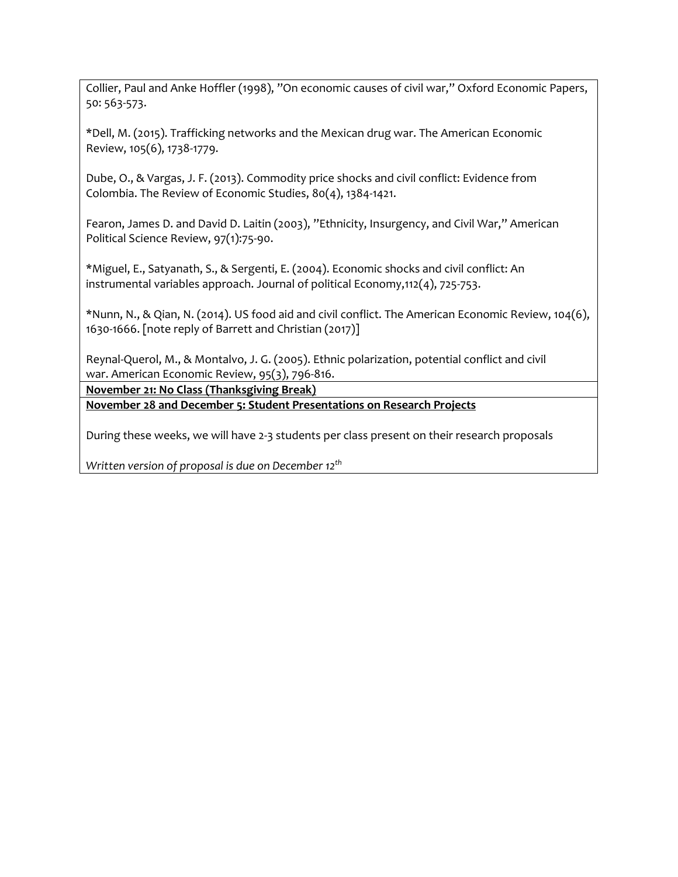Collier, Paul and Anke Hoffler (1998), "On economic causes of civil war," Oxford Economic Papers, 50: 563-573.

\*Dell, M. (2015). Trafficking networks and the Mexican drug war. The American Economic Review, 105(6), 1738-1779.

Dube, O., & Vargas, J. F. (2013). Commodity price shocks and civil conflict: Evidence from Colombia. The Review of Economic Studies, 80(4), 1384-1421.

Fearon, James D. and David D. Laitin (2003), "Ethnicity, Insurgency, and Civil War," American Political Science Review, 97(1):75-90.

\*Miguel, E., Satyanath, S., & Sergenti, E. (2004). Economic shocks and civil conflict: An instrumental variables approach. Journal of political Economy,112(4), 725-753.

\*Nunn, N., & Qian, N. (2014). US food aid and civil conflict. The American Economic Review, 104(6), 1630-1666. [note reply of Barrett and Christian (2017)]

Reynal-Querol, M., & Montalvo, J. G. (2005). Ethnic polarization, potential conflict and civil war. American Economic Review, 95(3), 796-816.

**November 21: No Class (Thanksgiving Break)**

**November 28 and December 5: Student Presentations on Research Projects**

During these weeks, we will have 2-3 students per class present on their research proposals

*Written version of proposal is due on December 12th*